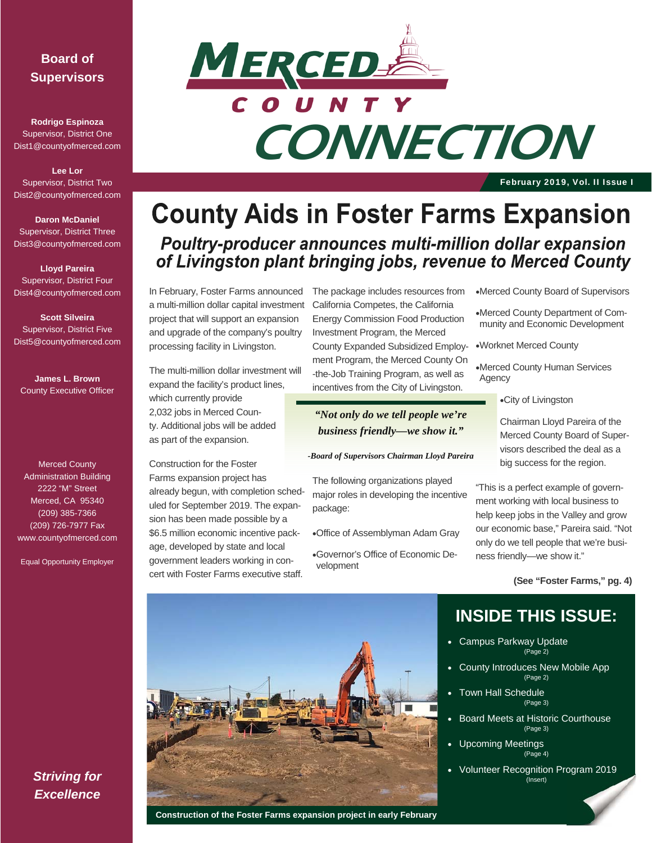#### **Board of Supervisors**

**Rodrigo Espinoza**  Supervisor, District One Dist1@countyofmerced.com

**Lee Lor**  Supervisor, District Two Dist2@countyofmerced.com

**Daron McDaniel**  Supervisor, District Three Dist3@countyofmerced.com

**Lloyd Pareira**  Supervisor, District Four Dist4@countyofmerced.com

**Scott Silveira**  Supervisor, District Five Dist5@countyofmerced.com

**James L. Brown**  County Executive Officer

Merced County Administration Building 2222 "M" Street Merced, CA 95340 (209) 385-7366 (209) 726-7977 Fax www.countyofmerced.com

Equal Opportunity Employer



February 2019, Vol. II Issue I

## **County Aids in Foster Farms Expansion** Poultry-producer announces multi-million dollar expansion of Livingston plant bringing jobs, revenue to Merced County

In February, Foster Farms announced a multi-million dollar capital investment project that will support an expansion and upgrade of the company's poultry processing facility in Livingston.

The multi-million dollar investment will expand the facility's product lines, which currently provide 2,032 jobs in Merced County. Additional jobs will be added as part of the expansion.

Construction for the Foster Farms expansion project has already begun, with completion scheduled for September 2019. The expansion has been made possible by a \$6.5 million economic incentive package, developed by state and local government leaders working in concert with Foster Farms executive staff.

The package includes resources from California Competes, the California Energy Commission Food Production Investment Program, the Merced County Expanded Subsidized Employment Program, the Merced County On -the-Job Training Program, as well as incentives from the City of Livingston.

*"Not only do we tell people we're business friendly—we show it."* 

#### *-Board of Supervisors Chairman Lloyd Pareira*

The following organizations played major roles in developing the incentive package:

Office of Assemblyman Adam Gray

Governor's Office of Economic Development

Merced County Board of Supervisors

Merced County Department of Community and Economic Development

Worknet Merced County

Merced County Human Services Agency

City of Livingston

Chairman Lloyd Pareira of the Merced County Board of Supervisors described the deal as a big success for the region.

"This is a perfect example of government working with local business to help keep jobs in the Valley and grow our economic base," Pareira said. "Not only do we tell people that we're business friendly—we show it."

**(See "Foster Farms," pg. 4)** 



#### **Construction of the Foster Farms expansion project in early February**

### **INSIDE THIS ISSUE:**

- Campus Parkway Update (Page 2)
- County Introduces New Mobile App (Page 2)
- Town Hall Schedule (Page 3)
- Board Meets at Historic Courthouse (Page 3)
- Upcoming Meetings (Page 4)
- Volunteer Recognition Program 2019 (Insert)

*Striving for Excellence*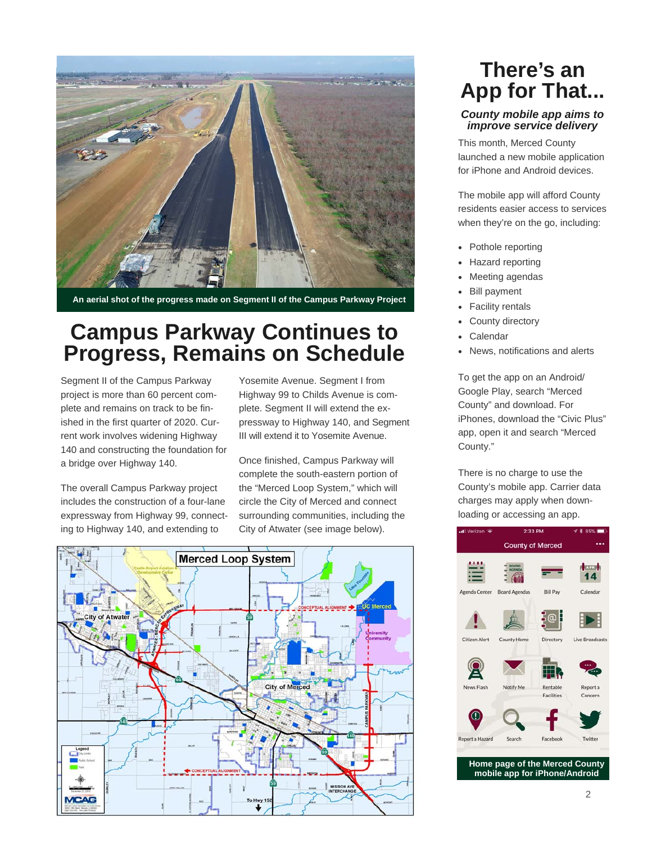

**An aerial shot of the progress made on Segment II of the Campus Parkway Project** 

## **Campus Parkway Continues to Progress, Remains on Schedule**

Segment II of the Campus Parkway project is more than 60 percent complete and remains on track to be finished in the first quarter of 2020. Current work involves widening Highway 140 and constructing the foundation for a bridge over Highway 140.

The overall Campus Parkway project includes the construction of a four-lane expressway from Highway 99, connecting to Highway 140, and extending to

Yosemite Avenue. Segment I from Highway 99 to Childs Avenue is complete. Segment II will extend the expressway to Highway 140, and Segment III will extend it to Yosemite Avenue.

Once finished, Campus Parkway will complete the south-eastern portion of the "Merced Loop System," which will circle the City of Merced and connect surrounding communities, including the City of Atwater (see image below).



## **There's an App for That...**

#### *County mobile app aims to improve service delivery*

This month, Merced County launched a new mobile application for iPhone and Android devices.

The mobile app will afford County residents easier access to services when they're on the go, including:

- Pothole reporting
- Hazard reporting
- Meeting agendas
- Bill payment
- Facility rentals
- County directory
- Calendar
- News, notifications and alerts

To get the app on an Android/ Google Play, search "Merced County" and download. For iPhones, download the "Civic Plus" app, open it and search "Merced County."

There is no charge to use the County's mobile app. Carrier data charges may apply when downloading or accessing an app.

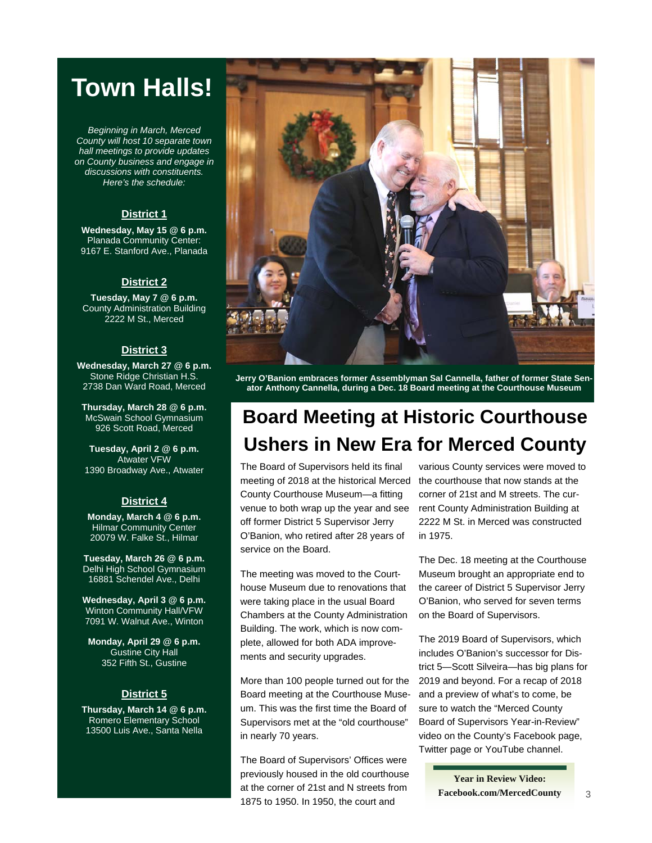## **Town Halls!**

*Beginning in March, Merced County will host 10 separate town hall meetings to provide updates on County business and engage in discussions with constituents. Here's the schedule:* 

#### **District 1**

**Wednesday, May 15 @ 6 p.m.**  Planada Community Center: 9167 E. Stanford Ave., Planada

#### **District 2**

**Tuesday, May 7 @ 6 p.m.**  County Administration Building 2222 M St., Merced

#### **District 3**

**Wednesday, March 27 @ 6 p.m.**  Stone Ridge Christian H.S. 2738 Dan Ward Road, Merced

**Thursday, March 28 @ 6 p.m.**  McSwain School Gymnasium 926 Scott Road, Merced

**Tuesday, April 2 @ 6 p.m.**  Atwater VFW 1390 Broadway Ave., Atwater

#### **District 4**

**Monday, March 4 @ 6 p.m.**  Hilmar Community Center 20079 W. Falke St., Hilmar

**Tuesday, March 26 @ 6 p.m.**  Delhi High School Gymnasium 16881 Schendel Ave., Delhi

**Wednesday, April 3 @ 6 p.m.**  Winton Community Hall/VFW 7091 W. Walnut Ave., Winton

**Monday, April 29 @ 6 p.m.**  Gustine City Hall 352 Fifth St., Gustine

#### **District 5**

**Thursday, March 14 @ 6 p.m.**  Romero Elementary School 13500 Luis Ave., Santa Nella



**Jerry O'Banion embraces former Assemblyman Sal Cannella, father of former State Senator Anthony Cannella, during a Dec. 18 Board meeting at the Courthouse Museum** 

## **Board Meeting at Historic Courthouse Ushers in New Era for Merced County**

The Board of Supervisors held its final meeting of 2018 at the historical Merced County Courthouse Museum—a fitting venue to both wrap up the year and see off former District 5 Supervisor Jerry O'Banion, who retired after 28 years of service on the Board.

The meeting was moved to the Courthouse Museum due to renovations that were taking place in the usual Board Chambers at the County Administration Building. The work, which is now complete, allowed for both ADA improvements and security upgrades.

More than 100 people turned out for the Board meeting at the Courthouse Museum. This was the first time the Board of Supervisors met at the "old courthouse" in nearly 70 years.

The Board of Supervisors' Offices were previously housed in the old courthouse at the corner of 21st and N streets from 1875 to 1950. In 1950, the court and

various County services were moved to the courthouse that now stands at the corner of 21st and M streets. The current County Administration Building at 2222 M St. in Merced was constructed in 1975.

The Dec. 18 meeting at the Courthouse Museum brought an appropriate end to the career of District 5 Supervisor Jerry O'Banion, who served for seven terms on the Board of Supervisors.

The 2019 Board of Supervisors, which includes O'Banion's successor for District 5—Scott Silveira—has big plans for 2019 and beyond. For a recap of 2018 and a preview of what's to come, be sure to watch the "Merced County Board of Supervisors Year-in-Review" video on the County's Facebook page, Twitter page or YouTube channel.

> **Year in Review Video: Facebook.com/MercedCounty**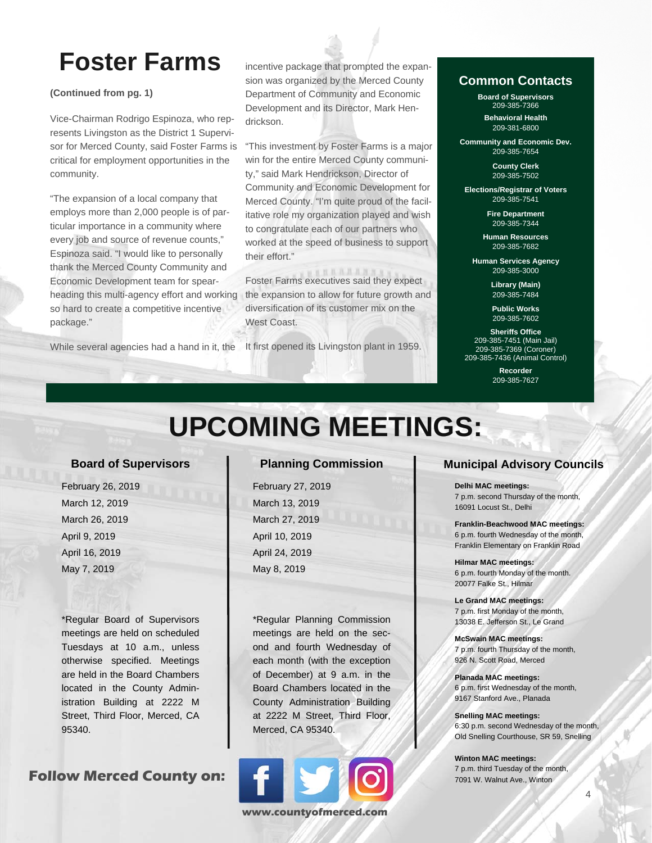# **Foster Farms**

**(Continued from pg. 1)** 

Vice-Chairman Rodrigo Espinoza, who represents Livingston as the District 1 Supervisor for Merced County, said Foster Farms is critical for employment opportunities in the community.

"The expansion of a local company that employs more than 2,000 people is of particular importance in a community where every job and source of revenue counts," Espinoza said. "I would like to personally thank the Merced County Community and Economic Development team for spearheading this multi-agency effort and working so hard to create a competitive incentive package."

While several agencies had a hand in it, the

incentive package that prompted the expansion was organized by the Merced County Department of Community and Economic Development and its Director, Mark Hendrickson.

"This investment by Foster Farms is a major win for the entire Merced County community," said Mark Hendrickson, Director of Community and Economic Development for Merced County. "I'm quite proud of the facilitative role my organization played and wish to congratulate each of our partners who worked at the speed of business to support their effort."

**NATALANAS** Foster Farms executives said they expect the expansion to allow for future growth and diversification of its customer mix on the West Coast.

It first opened its Livingston plant in 1959.

#### **Common Contacts**

**Board of Supervisors**  209-385-7366 **Behavioral Health** 

209-381-6800

**Community and Economic Dev.**  209-385-7654

> **County Clerk**  209-385-7502

**Elections/Registrar of Voters**  209-385-7541

> **Fire Department**  209-385-7344

**Human Resources**  209-385-7682

**Human Services Agency**  209-385-3000

> **Library (Main)**  209-385-7484

**Public Works**  209-385-7602

**Sheriffs Office**  209-385-7451 (Main Jail) 209-385-7369 (Coroner) 209-385-7436 (Animal Control)

> **Recorder**  209-385-7627

# **UPCOMING MEETINGS:**

#### **Board of Supervisors**

 February 26, 2019 March 12, 2019 March 26, 2019 April 9, 2019 April 16, 2019 May 7, 2019

\*Regular Board of Supervisors meetings are held on scheduled Tuesdays at 10 a.m., unless otherwise specified. Meetings are held in the Board Chambers located in the County Administration Building at 2222 M Street, Third Floor, Merced, CA 95340.

**Follow Merced County on:** 

#### **Planning Commission**

 February 27, 2019 March 13, 2019 March 27, 2019 April 10, 2019 April 24, 2019 May 8, 2019

\*Regular Planning Commission meetings are held on the second and fourth Wednesday of each month (with the exception of December) at 9 a.m. in the Board Chambers located in the County Administration Building at 2222 M Street, Third Floor, Merced, CA 95340.



#### **Municipal Advisory Councils**

**Delhi MAC meetings:** 

7 p.m. second Thursday of the month, 16091 Locust St., Delhi

**Franklin-Beachwood MAC meetings:**  6 p.m. fourth Wednesday of the month, Franklin Elementary on Franklin Road

**Hilmar MAC meetings:**  6 p.m. fourth Monday of the month. 20077 Falke St., Hilmar

**Le Grand MAC meetings:**  7 p.m. first Monday of the month, 13038 E. Jefferson St., Le Grand

**McSwain MAC meetings:**  7 p.m. fourth Thursday of the month, 926 N. Scott Road, Merced

**Planada MAC meetings:**  6 p.m. first Wednesday of the month, 9167 Stanford Ave., Planada

**Snelling MAC meetings:**  6:30 p.m. second Wednesday of the month, Old Snelling Courthouse, SR 59, Snelling

**Winton MAC meetings:**  7 p.m. third Tuesday of the month, 7091 W. Walnut Ave., Winton